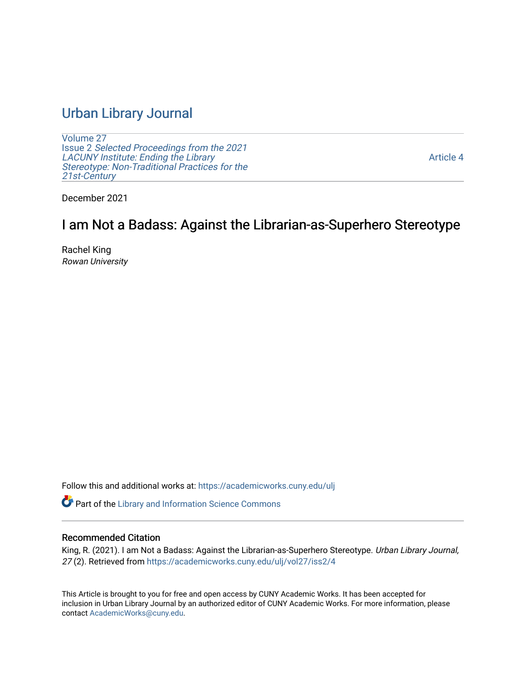# [Urban Library Journal](https://academicworks.cuny.edu/ulj)

[Volume 27](https://academicworks.cuny.edu/ulj/vol27) Issue 2 [Selected Proceedings from the 2021](https://academicworks.cuny.edu/ulj/vol27/iss2)  [LACUNY Institute: Ending the Library](https://academicworks.cuny.edu/ulj/vol27/iss2)  [Stereotype: Non-Traditional Practices for the](https://academicworks.cuny.edu/ulj/vol27/iss2)  [21st-Century](https://academicworks.cuny.edu/ulj/vol27/iss2)

[Article 4](https://academicworks.cuny.edu/ulj/vol27/iss2/4) 

December 2021

# I am Not a Badass: Against the Librarian-as-Superhero Stereotype

Rachel King Rowan University

Follow this and additional works at: [https://academicworks.cuny.edu/ulj](https://academicworks.cuny.edu/ulj?utm_source=academicworks.cuny.edu%2Fulj%2Fvol27%2Fiss2%2F4&utm_medium=PDF&utm_campaign=PDFCoverPages)

Part of the [Library and Information Science Commons](http://network.bepress.com/hgg/discipline/1018?utm_source=academicworks.cuny.edu%2Fulj%2Fvol27%2Fiss2%2F4&utm_medium=PDF&utm_campaign=PDFCoverPages) 

#### Recommended Citation

King, R. (2021). I am Not a Badass: Against the Librarian-as-Superhero Stereotype. Urban Library Journal, 27 (2). Retrieved from [https://academicworks.cuny.edu/ulj/vol27/iss2/4](https://academicworks.cuny.edu/ulj/vol27/iss2/4?utm_source=academicworks.cuny.edu%2Fulj%2Fvol27%2Fiss2%2F4&utm_medium=PDF&utm_campaign=PDFCoverPages) 

This Article is brought to you for free and open access by CUNY Academic Works. It has been accepted for inclusion in Urban Library Journal by an authorized editor of CUNY Academic Works. For more information, please contact [AcademicWorks@cuny.edu.](mailto:AcademicWorks@cuny.edu)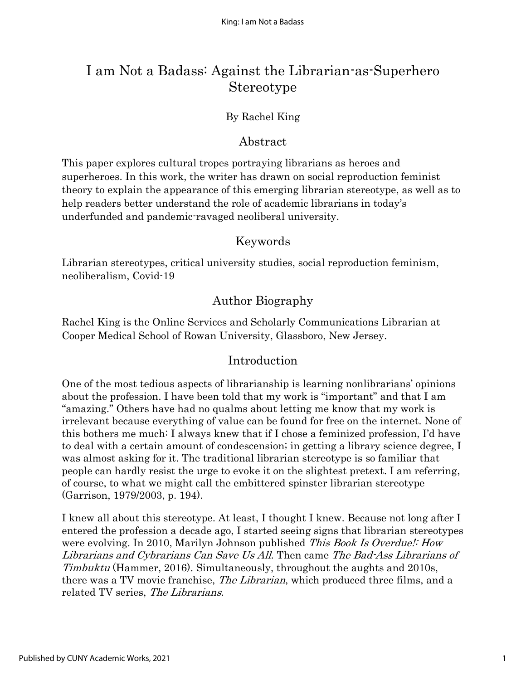# I am Not a Badass: Against the Librarian-as-Superhero Stereotype

#### By Rachel King

### Abstract

This paper explores cultural tropes portraying librarians as heroes and superheroes. In this work, the writer has drawn on social reproduction feminist theory to explain the appearance of this emerging librarian stereotype, as well as to help readers better understand the role of academic librarians in today's underfunded and pandemic-ravaged neoliberal university.

#### Keywords

Librarian stereotypes, critical university studies, social reproduction feminism, neoliberalism, Covid-19

# Author Biography

Rachel King is the Online Services and Scholarly Communications Librarian at Cooper Medical School of Rowan University, Glassboro, New Jersey.

## Introduction

One of the most tedious aspects of librarianship is learning nonlibrarians' opinions about the profession. I have been told that my work is "important" and that I am "amazing." Others have had no qualms about letting me know that my work is irrelevant because everything of value can be found for free on the internet. None of this bothers me much: I always knew that if I chose a feminized profession, I'd have to deal with a certain amount of condescension; in getting a library science degree, I was almost asking for it. The traditional librarian stereotype is so familiar that people can hardly resist the urge to evoke it on the slightest pretext. I am referring, of course, to what we might call the embittered spinster librarian stereotype (Garrison, 1979/2003, p. 194).

I knew all about this stereotype. At least, I thought I knew. Because not long after I entered the profession a decade ago, I started seeing signs that librarian stereotypes were evolving. In 2010, Marilyn Johnson published *This Book Is Overdue!: How* Librarians and Cybrarians Can Save Us All. Then came The Bad-Ass Librarians of Timbuktu (Hammer, 2016). Simultaneously, throughout the aughts and 2010s, there was a TV movie franchise, *The Librarian*, which produced three films, and a related TV series, The Librarians.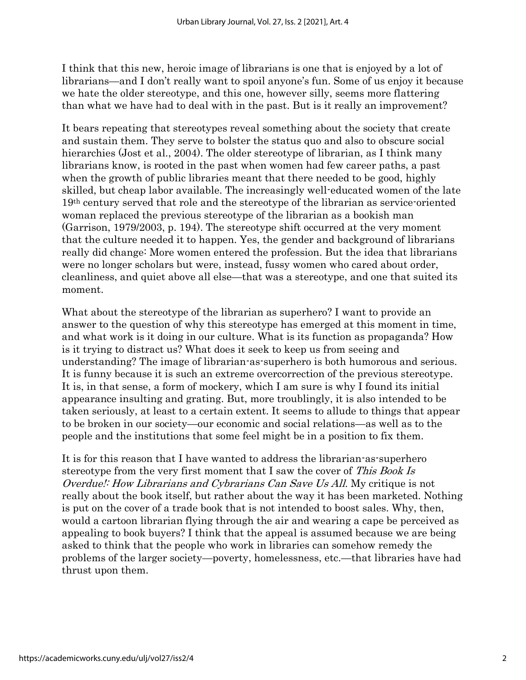I think that this new, heroic image of librarians is one that is enjoyed by a lot of librarians—and I don't really want to spoil anyone's fun. Some of us enjoy it because we hate the older stereotype, and this one, however silly, seems more flattering than what we have had to deal with in the past. But is it really an improvement?

It bears repeating that stereotypes reveal something about the society that create and sustain them. They serve to bolster the status quo and also to obscure social hierarchies (Jost et al., 2004). The older stereotype of librarian, as I think many librarians know, is rooted in the past when women had few career paths, a past when the growth of public libraries meant that there needed to be good, highly skilled, but cheap labor available. The increasingly well-educated women of the late 19th century served that role and the stereotype of the librarian as service-oriented woman replaced the previous stereotype of the librarian as a bookish man (Garrison, 1979/2003, p. 194). The stereotype shift occurred at the very moment that the culture needed it to happen. Yes, the gender and background of librarians really did change: More women entered the profession. But the idea that librarians were no longer scholars but were, instead, fussy women who cared about order, cleanliness, and quiet above all else—that was a stereotype, and one that suited its moment.

What about the stereotype of the librarian as superhero? I want to provide an answer to the question of why this stereotype has emerged at this moment in time, and what work is it doing in our culture. What is its function as propaganda? How is it trying to distract us? What does it seek to keep us from seeing and understanding? The image of librarian-as-superhero is both humorous and serious. It is funny because it is such an extreme overcorrection of the previous stereotype. It is, in that sense, a form of mockery, which I am sure is why I found its initial appearance insulting and grating. But, more troublingly, it is also intended to be taken seriously, at least to a certain extent. It seems to allude to things that appear to be broken in our society—our economic and social relations—as well as to the people and the institutions that some feel might be in a position to fix them.

It is for this reason that I have wanted to address the librarian-as-superhero stereotype from the very first moment that I saw the cover of This Book Is Overdue!: How Librarians and Cybrarians Can Save Us All. My critique is not really about the book itself, but rather about the way it has been marketed. Nothing is put on the cover of a trade book that is not intended to boost sales. Why, then, would a cartoon librarian flying through the air and wearing a cape be perceived as appealing to book buyers? I think that the appeal is assumed because we are being asked to think that the people who work in libraries can somehow remedy the problems of the larger society—poverty, homelessness, etc.—that libraries have had thrust upon them.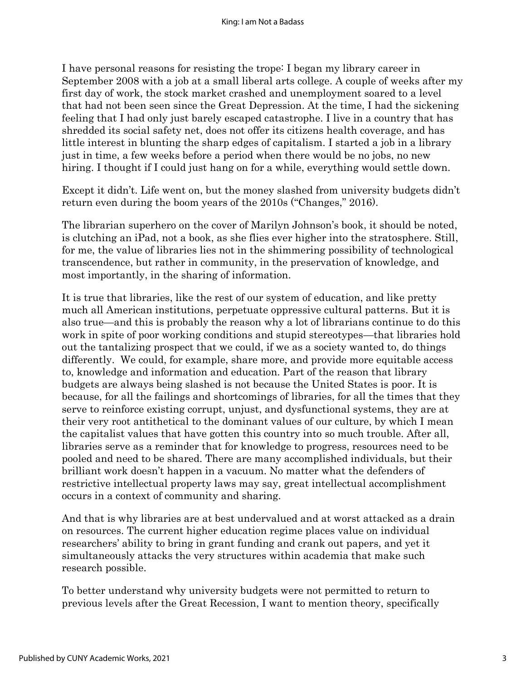I have personal reasons for resisting the trope: I began my library career in September 2008 with a job at a small liberal arts college. A couple of weeks after my first day of work, the stock market crashed and unemployment soared to a level that had not been seen since the Great Depression. At the time, I had the sickening feeling that I had only just barely escaped catastrophe. I live in a country that has shredded its social safety net, does not offer its citizens health coverage, and has little interest in blunting the sharp edges of capitalism. I started a job in a library just in time, a few weeks before a period when there would be no jobs, no new hiring. I thought if I could just hang on for a while, everything would settle down.

Except it didn't. Life went on, but the money slashed from university budgets didn't return even during the boom years of the 2010s ("Changes," 2016).

The librarian superhero on the cover of Marilyn Johnson's book, it should be noted, is clutching an iPad, not a book, as she flies ever higher into the stratosphere. Still, for me, the value of libraries lies not in the shimmering possibility of technological transcendence, but rather in community, in the preservation of knowledge, and most importantly, in the sharing of information.

It is true that libraries, like the rest of our system of education, and like pretty much all American institutions, perpetuate oppressive cultural patterns. But it is also true—and this is probably the reason why a lot of librarians continue to do this work in spite of poor working conditions and stupid stereotypes—that libraries hold out the tantalizing prospect that we could, if we as a society wanted to, do things differently. We could, for example, share more, and provide more equitable access to, knowledge and information and education. Part of the reason that library budgets are always being slashed is not because the United States is poor. It is because, for all the failings and shortcomings of libraries, for all the times that they serve to reinforce existing corrupt, unjust, and dysfunctional systems, they are at their very root antithetical to the dominant values of our culture, by which I mean the capitalist values that have gotten this country into so much trouble. After all, libraries serve as a reminder that for knowledge to progress, resources need to be pooled and need to be shared. There are many accomplished individuals, but their brilliant work doesn't happen in a vacuum. No matter what the defenders of restrictive intellectual property laws may say, great intellectual accomplishment occurs in a context of community and sharing.

And that is why libraries are at best undervalued and at worst attacked as a drain on resources. The current higher education regime places value on individual researchers' ability to bring in grant funding and crank out papers, and yet it simultaneously attacks the very structures within academia that make such research possible.

To better understand why university budgets were not permitted to return to previous levels after the Great Recession, I want to mention theory, specifically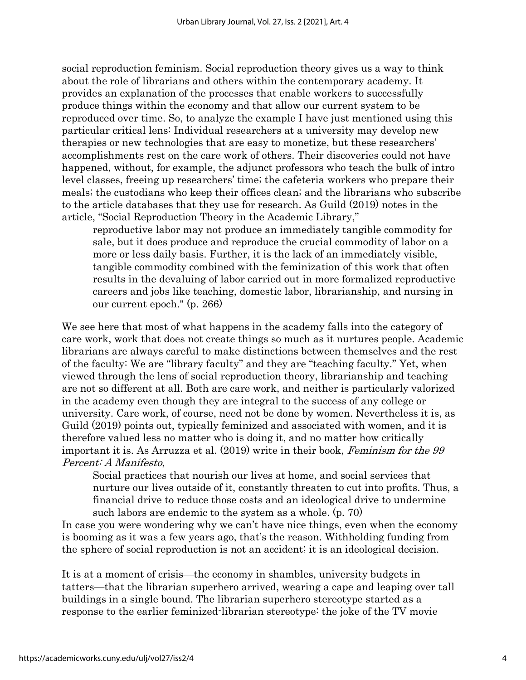social reproduction feminism. Social reproduction theory gives us a way to think about the role of librarians and others within the contemporary academy. It provides an explanation of the processes that enable workers to successfully produce things within the economy and that allow our current system to be reproduced over time. So, to analyze the example I have just mentioned using this particular critical lens: Individual researchers at a university may develop new therapies or new technologies that are easy to monetize, but these researchers' accomplishments rest on the care work of others. Their discoveries could not have happened, without, for example, the adjunct professors who teach the bulk of intro level classes, freeing up researchers' time; the cafeteria workers who prepare their meals; the custodians who keep their offices clean; and the librarians who subscribe to the article databases that they use for research. As Guild (2019) notes in the article, "Social Reproduction Theory in the Academic Library,"

reproductive labor may not produce an immediately tangible commodity for sale, but it does produce and reproduce the crucial commodity of labor on a more or less daily basis. Further, it is the lack of an immediately visible, tangible commodity combined with the feminization of this work that often results in the devaluing of labor carried out in more formalized reproductive careers and jobs like teaching, domestic labor, librarianship, and nursing in our current epoch." (p. 266)

We see here that most of what happens in the academy falls into the category of care work, work that does not create things so much as it nurtures people. Academic librarians are always careful to make distinctions between themselves and the rest of the faculty: We are "library faculty" and they are "teaching faculty." Yet, when viewed through the lens of social reproduction theory, librarianship and teaching are not so different at all. Both are care work, and neither is particularly valorized in the academy even though they are integral to the success of any college or university. Care work, of course, need not be done by women. Nevertheless it is, as Guild (2019) points out, typically feminized and associated with women, and it is therefore valued less no matter who is doing it, and no matter how critically important it is. As Arruzza et al. (2019) write in their book, Feminism for the 99 Percent: A Manifesto,

Social practices that nourish our lives at home, and social services that nurture our lives outside of it, constantly threaten to cut into profits. Thus, a financial drive to reduce those costs and an ideological drive to undermine such labors are endemic to the system as a whole. (p. 70)

In case you were wondering why we can't have nice things, even when the economy is booming as it was a few years ago, that's the reason. Withholding funding from the sphere of social reproduction is not an accident; it is an ideological decision.

It is at a moment of crisis—the economy in shambles, university budgets in tatters—that the librarian superhero arrived, wearing a cape and leaping over tall buildings in a single bound. The librarian superhero stereotype started as a response to the earlier feminized-librarian stereotype: the joke of the TV movie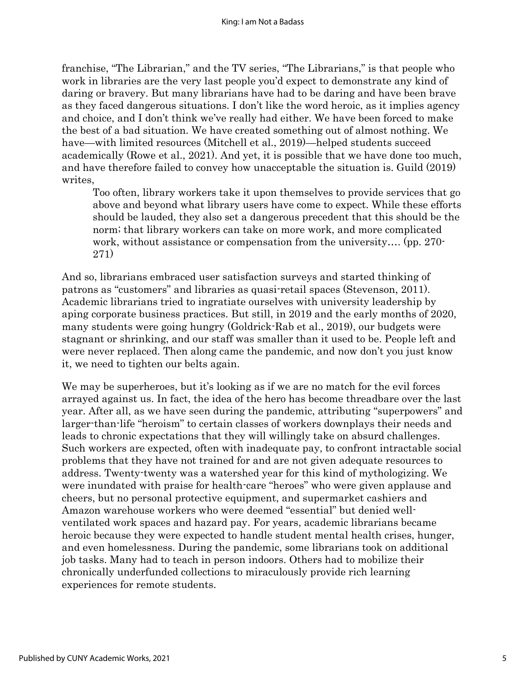franchise, "The Librarian," and the TV series, "The Librarians," is that people who work in libraries are the very last people you'd expect to demonstrate any kind of daring or bravery. But many librarians have had to be daring and have been brave as they faced dangerous situations. I don't like the word heroic, as it implies agency and choice, and I don't think we've really had either. We have been forced to make the best of a bad situation. We have created something out of almost nothing. We have—with limited resources (Mitchell et al., 2019)—helped students succeed academically (Rowe et al., 2021). And yet, it is possible that we have done too much, and have therefore failed to convey how unacceptable the situation is. Guild (2019) writes,

Too often, library workers take it upon themselves to provide services that go above and beyond what library users have come to expect. While these efforts should be lauded, they also set a dangerous precedent that this should be the norm; that library workers can take on more work, and more complicated work, without assistance or compensation from the university…. (pp. 270- 271)

And so, librarians embraced user satisfaction surveys and started thinking of patrons as "customers" and libraries as quasi-retail spaces (Stevenson, 2011). Academic librarians tried to ingratiate ourselves with university leadership by aping corporate business practices. But still, in 2019 and the early months of 2020, many students were going hungry (Goldrick-Rab et al., 2019), our budgets were stagnant or shrinking, and our staff was smaller than it used to be. People left and were never replaced. Then along came the pandemic, and now don't you just know it, we need to tighten our belts again.

We may be superheroes, but it's looking as if we are no match for the evil forces arrayed against us. In fact, the idea of the hero has become threadbare over the last year. After all, as we have seen during the pandemic, attributing "superpowers" and larger-than-life "heroism" to certain classes of workers downplays their needs and leads to chronic expectations that they will willingly take on absurd challenges. Such workers are expected, often with inadequate pay, to confront intractable social problems that they have not trained for and are not given adequate resources to address. Twenty-twenty was a watershed year for this kind of mythologizing. We were inundated with praise for health-care "heroes" who were given applause and cheers, but no personal protective equipment, and supermarket cashiers and Amazon warehouse workers who were deemed "essential" but denied wellventilated work spaces and hazard pay. For years, academic librarians became heroic because they were expected to handle student mental health crises, hunger, and even homelessness. During the pandemic, some librarians took on additional job tasks. Many had to teach in person indoors. Others had to mobilize their chronically underfunded collections to miraculously provide rich learning experiences for remote students.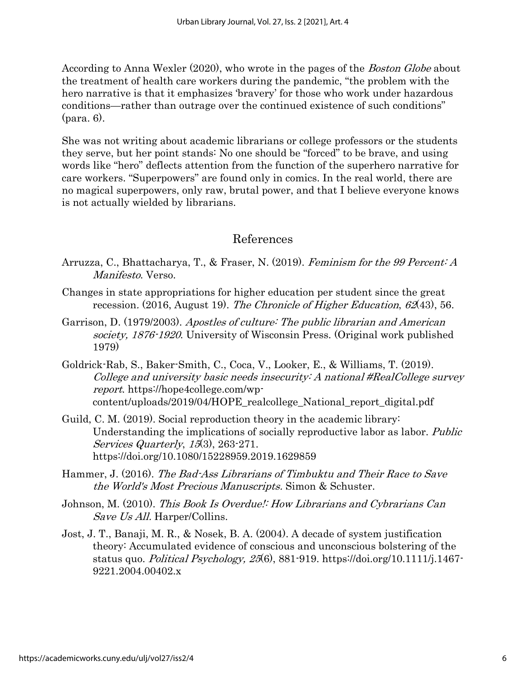According to Anna Wexler (2020), who wrote in the pages of the *Boston Globe* about the treatment of health care workers during the pandemic, "the problem with the hero narrative is that it emphasizes 'bravery' for those who work under hazardous conditions—rather than outrage over the continued existence of such conditions" (para. 6).

She was not writing about academic librarians or college professors or the students they serve, but her point stands: No one should be "forced" to be brave, and using words like "hero" deflects attention from the function of the superhero narrative for care workers. "Superpowers" are found only in comics. In the real world, there are no magical superpowers, only raw, brutal power, and that I believe everyone knows is not actually wielded by librarians.

#### References

- Arruzza, C., Bhattacharya, T., & Fraser, N. (2019). Feminism for the 99 Percent: A Manifesto. Verso.
- Changes in state appropriations for higher education per student since the great recession. (2016, August 19). The Chronicle of Higher Education,  $62(43)$ , 56.
- Garrison, D. (1979/2003). Apostles of culture: The public librarian and American society, 1876-1920. University of Wisconsin Press. (Original work published 1979)
- Goldrick-Rab, S., Baker-Smith, C., Coca, V., Looker, E., & Williams, T. (2019). College and university basic needs insecurity: A national #RealCollege survey report. https://hope4college.com/wpcontent/uploads/2019/04/HOPE\_realcollege\_National\_report\_digital.pdf
- Guild, C. M. (2019). Social reproduction theory in the academic library: Understanding the implications of socially reproductive labor as labor. *Public* Services Quarterly, 15(3), 263-271. https://doi.org/10.1080/15228959.2019.1629859
- Hammer, J. (2016). The Bad-Ass Librarians of Timbuktu and Their Race to Save the World's Most Precious Manuscripts. Simon & Schuster.
- Johnson, M. (2010). This Book Is Overdue!: How Librarians and Cybrarians Can Save Us All. Harper/Collins.
- Jost, J. T., Banaji, M. R., & Nosek, B. A. (2004). A decade of system justification theory: Accumulated evidence of conscious and unconscious bolstering of the status quo. Political Psychology, <sup>25</sup>(6), 881-919. https://doi.org/10.1111/j.1467- 9221.2004.00402.x